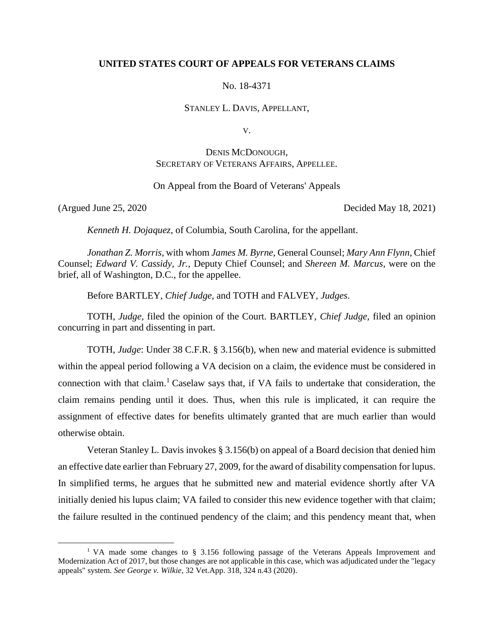## **UNITED STATES COURT OF APPEALS FOR VETERANS CLAIMS**

No. 18-4371

STANLEY L. DAVIS, APPELLANT,

V.

# DENIS MCDONOUGH, SECRETARY OF VETERANS AFFAIRS, APPELLEE.

## On Appeal from the Board of Veterans' Appeals

 $\overline{a}$ 

(Argued June 25, 2020 Decided May 18, 2021)

*Kenneth H. Dojaquez*, of Columbia, South Carolina, for the appellant.

*Jonathan Z. Morris*, with whom *James M. Byrne*, General Counsel; *Mary Ann Flynn*, Chief Counsel; *Edward V. Cassidy, Jr.*, Deputy Chief Counsel; and *Shereen M. Marcus*, were on the brief, all of Washington, D.C., for the appellee.

Before BARTLEY, *Chief Judge*, and TOTH and FALVEY, *Judges*.

TOTH, *Judge*, filed the opinion of the Court. BARTLEY, *Chief Judge*, filed an opinion concurring in part and dissenting in part.

TOTH, *Judge*: Under 38 C.F.R. § 3.156(b), when new and material evidence is submitted within the appeal period following a VA decision on a claim, the evidence must be considered in connection with that claim.<sup>1</sup> Caselaw says that, if VA fails to undertake that consideration, the claim remains pending until it does. Thus, when this rule is implicated, it can require the assignment of effective dates for benefits ultimately granted that are much earlier than would otherwise obtain.

Veteran Stanley L. Davis invokes § 3.156(b) on appeal of a Board decision that denied him an effective date earlier than February 27, 2009, for the award of disability compensation for lupus. In simplified terms, he argues that he submitted new and material evidence shortly after VA initially denied his lupus claim; VA failed to consider this new evidence together with that claim; the failure resulted in the continued pendency of the claim; and this pendency meant that, when

<sup>&</sup>lt;sup>1</sup> VA made some changes to § 3.156 following passage of the Veterans Appeals Improvement and Modernization Act of 2017, but those changes are not applicable in this case, which was adjudicated under the "legacy appeals" system. *See George v. Wilkie*, 32 Vet.App. 318, 324 n.43 (2020).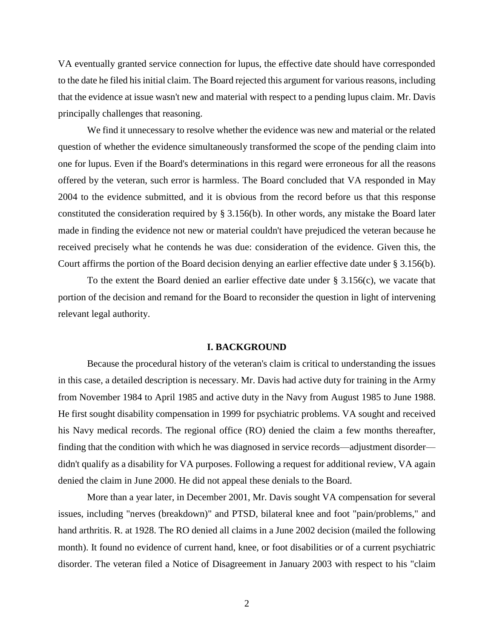VA eventually granted service connection for lupus, the effective date should have corresponded to the date he filed his initial claim. The Board rejected this argument for various reasons, including that the evidence at issue wasn't new and material with respect to a pending lupus claim. Mr. Davis principally challenges that reasoning.

We find it unnecessary to resolve whether the evidence was new and material or the related question of whether the evidence simultaneously transformed the scope of the pending claim into one for lupus. Even if the Board's determinations in this regard were erroneous for all the reasons offered by the veteran, such error is harmless. The Board concluded that VA responded in May 2004 to the evidence submitted, and it is obvious from the record before us that this response constituted the consideration required by § 3.156(b). In other words, any mistake the Board later made in finding the evidence not new or material couldn't have prejudiced the veteran because he received precisely what he contends he was due: consideration of the evidence. Given this, the Court affirms the portion of the Board decision denying an earlier effective date under § 3.156(b).

To the extent the Board denied an earlier effective date under  $\S 3.156(c)$ , we vacate that portion of the decision and remand for the Board to reconsider the question in light of intervening relevant legal authority.

#### **I. BACKGROUND**

Because the procedural history of the veteran's claim is critical to understanding the issues in this case, a detailed description is necessary. Mr. Davis had active duty for training in the Army from November 1984 to April 1985 and active duty in the Navy from August 1985 to June 1988. He first sought disability compensation in 1999 for psychiatric problems. VA sought and received his Navy medical records. The regional office (RO) denied the claim a few months thereafter, finding that the condition with which he was diagnosed in service records—adjustment disorder didn't qualify as a disability for VA purposes. Following a request for additional review, VA again denied the claim in June 2000. He did not appeal these denials to the Board.

More than a year later, in December 2001, Mr. Davis sought VA compensation for several issues, including "nerves (breakdown)" and PTSD, bilateral knee and foot "pain/problems," and hand arthritis. R. at 1928. The RO denied all claims in a June 2002 decision (mailed the following month). It found no evidence of current hand, knee, or foot disabilities or of a current psychiatric disorder. The veteran filed a Notice of Disagreement in January 2003 with respect to his "claim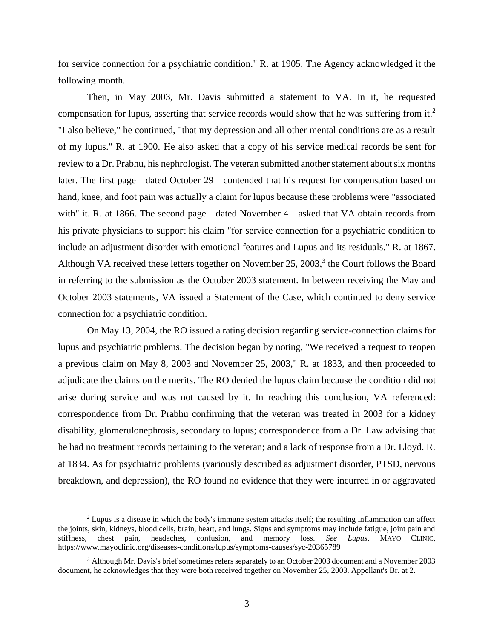for service connection for a psychiatric condition." R. at 1905. The Agency acknowledged it the following month.

Then, in May 2003, Mr. Davis submitted a statement to VA. In it, he requested compensation for lupus, asserting that service records would show that he was suffering from it.<sup>2</sup> "I also believe," he continued, "that my depression and all other mental conditions are as a result of my lupus." R. at 1900. He also asked that a copy of his service medical records be sent for review to a Dr. Prabhu, his nephrologist. The veteran submitted another statement about six months later. The first page—dated October 29—contended that his request for compensation based on hand, knee, and foot pain was actually a claim for lupus because these problems were "associated with" it. R. at 1866. The second page—dated November 4—asked that VA obtain records from his private physicians to support his claim "for service connection for a psychiatric condition to include an adjustment disorder with emotional features and Lupus and its residuals." R. at 1867. Although VA received these letters together on November 25, 2003,<sup>3</sup> the Court follows the Board in referring to the submission as the October 2003 statement. In between receiving the May and October 2003 statements, VA issued a Statement of the Case, which continued to deny service connection for a psychiatric condition.

On May 13, 2004, the RO issued a rating decision regarding service-connection claims for lupus and psychiatric problems. The decision began by noting, "We received a request to reopen a previous claim on May 8, 2003 and November 25, 2003," R. at 1833, and then proceeded to adjudicate the claims on the merits. The RO denied the lupus claim because the condition did not arise during service and was not caused by it. In reaching this conclusion, VA referenced: correspondence from Dr. Prabhu confirming that the veteran was treated in 2003 for a kidney disability, glomerulonephrosis, secondary to lupus; correspondence from a Dr. Law advising that he had no treatment records pertaining to the veteran; and a lack of response from a Dr. Lloyd. R. at 1834. As for psychiatric problems (variously described as adjustment disorder, PTSD, nervous breakdown, and depression), the RO found no evidence that they were incurred in or aggravated

 $\overline{a}$ 

<sup>2</sup> Lupus is a disease in which the body's immune system attacks itself; the resulting inflammation can affect the joints, skin, kidneys, blood cells, brain, heart, and lungs. Signs and symptoms may include fatigue, joint pain and stiffness, chest pain, headaches, confusion, and memory loss. *See Lupus*, MAYO CLINIC, https://www.mayoclinic.org/diseases-conditions/lupus/symptoms-causes/syc-20365789

<sup>3</sup> Although Mr. Davis's brief sometimes refers separately to an October 2003 document and a November 2003 document, he acknowledges that they were both received together on November 25, 2003. Appellant's Br. at 2.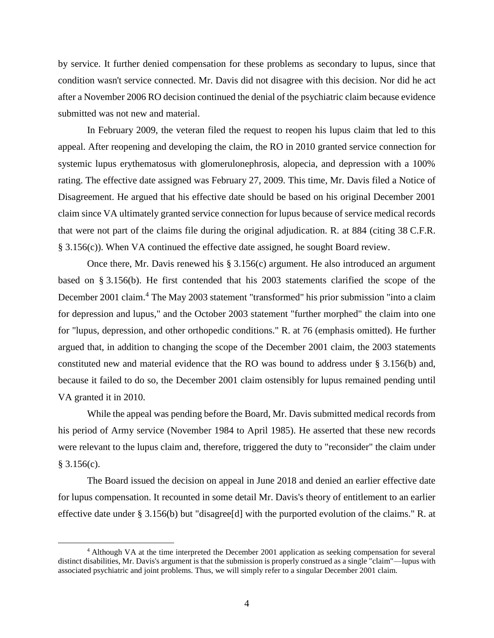by service. It further denied compensation for these problems as secondary to lupus, since that condition wasn't service connected. Mr. Davis did not disagree with this decision. Nor did he act after a November 2006 RO decision continued the denial of the psychiatric claim because evidence submitted was not new and material.

In February 2009, the veteran filed the request to reopen his lupus claim that led to this appeal. After reopening and developing the claim, the RO in 2010 granted service connection for systemic lupus erythematosus with glomerulonephrosis, alopecia, and depression with a 100% rating. The effective date assigned was February 27, 2009. This time, Mr. Davis filed a Notice of Disagreement. He argued that his effective date should be based on his original December 2001 claim since VA ultimately granted service connection for lupus because of service medical records that were not part of the claims file during the original adjudication. R. at 884 (citing 38 C.F.R. § 3.156(c)). When VA continued the effective date assigned, he sought Board review.

Once there, Mr. Davis renewed his § 3.156(c) argument. He also introduced an argument based on § 3.156(b). He first contended that his 2003 statements clarified the scope of the December 2001 claim.<sup>4</sup> The May 2003 statement "transformed" his prior submission "into a claim for depression and lupus," and the October 2003 statement "further morphed" the claim into one for "lupus, depression, and other orthopedic conditions." R. at 76 (emphasis omitted). He further argued that, in addition to changing the scope of the December 2001 claim, the 2003 statements constituted new and material evidence that the RO was bound to address under § 3.156(b) and, because it failed to do so, the December 2001 claim ostensibly for lupus remained pending until VA granted it in 2010.

While the appeal was pending before the Board, Mr. Davis submitted medical records from his period of Army service (November 1984 to April 1985). He asserted that these new records were relevant to the lupus claim and, therefore, triggered the duty to "reconsider" the claim under  $§ 3.156(c).$ 

The Board issued the decision on appeal in June 2018 and denied an earlier effective date for lupus compensation. It recounted in some detail Mr. Davis's theory of entitlement to an earlier effective date under § 3.156(b) but "disagree[d] with the purported evolution of the claims." R. at

 $\overline{a}$ 

<sup>4</sup> Although VA at the time interpreted the December 2001 application as seeking compensation for several distinct disabilities, Mr. Davis's argument is that the submission is properly construed as a single "claim"—lupus with associated psychiatric and joint problems. Thus, we will simply refer to a singular December 2001 claim.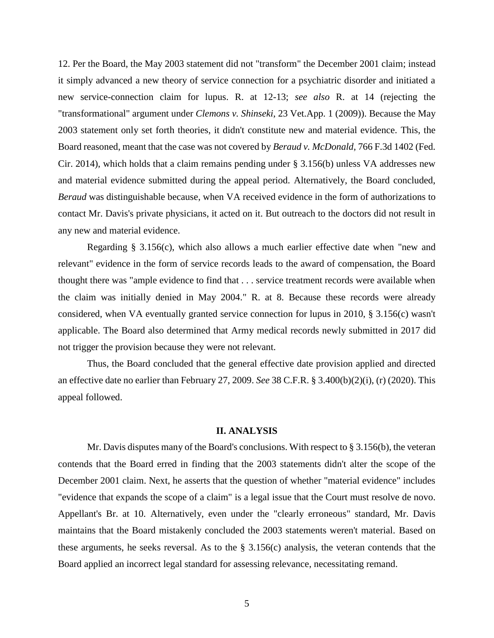12. Per the Board, the May 2003 statement did not "transform" the December 2001 claim; instead it simply advanced a new theory of service connection for a psychiatric disorder and initiated a new service-connection claim for lupus. R. at 12-13; *see also* R. at 14 (rejecting the "transformational" argument under *Clemons v. Shinseki*, 23 Vet.App. 1 (2009)). Because the May 2003 statement only set forth theories, it didn't constitute new and material evidence. This, the Board reasoned, meant that the case was not covered by *Beraud v. McDonald*, 766 F.3d 1402 (Fed. Cir. 2014), which holds that a claim remains pending under § 3.156(b) unless VA addresses new and material evidence submitted during the appeal period. Alternatively, the Board concluded, *Beraud* was distinguishable because, when VA received evidence in the form of authorizations to contact Mr. Davis's private physicians, it acted on it. But outreach to the doctors did not result in any new and material evidence.

Regarding § 3.156(c), which also allows a much earlier effective date when "new and relevant" evidence in the form of service records leads to the award of compensation, the Board thought there was "ample evidence to find that . . . service treatment records were available when the claim was initially denied in May 2004." R. at 8. Because these records were already considered, when VA eventually granted service connection for lupus in 2010, § 3.156(c) wasn't applicable. The Board also determined that Army medical records newly submitted in 2017 did not trigger the provision because they were not relevant.

Thus, the Board concluded that the general effective date provision applied and directed an effective date no earlier than February 27, 2009. *See* 38 C.F.R. § 3.400(b)(2)(i), (r) (2020). This appeal followed.

### **II. ANALYSIS**

Mr. Davis disputes many of the Board's conclusions. With respect to § 3.156(b), the veteran contends that the Board erred in finding that the 2003 statements didn't alter the scope of the December 2001 claim. Next, he asserts that the question of whether "material evidence" includes "evidence that expands the scope of a claim" is a legal issue that the Court must resolve de novo. Appellant's Br. at 10. Alternatively, even under the "clearly erroneous" standard, Mr. Davis maintains that the Board mistakenly concluded the 2003 statements weren't material. Based on these arguments, he seeks reversal. As to the  $\S$  3.156(c) analysis, the veteran contends that the Board applied an incorrect legal standard for assessing relevance, necessitating remand.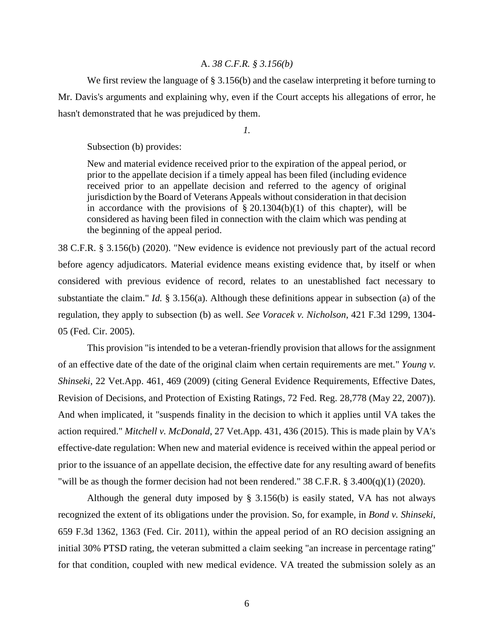## A. *38 C.F.R. § 3.156(b)*

We first review the language of § 3.156(b) and the caselaw interpreting it before turning to Mr. Davis's arguments and explaining why, even if the Court accepts his allegations of error, he hasn't demonstrated that he was prejudiced by them.

*1.*

Subsection (b) provides:

New and material evidence received prior to the expiration of the appeal period, or prior to the appellate decision if a timely appeal has been filed (including evidence received prior to an appellate decision and referred to the agency of original jurisdiction by the Board of Veterans Appeals without consideration in that decision in accordance with the provisions of  $\S 20.1304(b)(1)$  of this chapter), will be considered as having been filed in connection with the claim which was pending at the beginning of the appeal period.

38 C.F.R. § 3.156(b) (2020). "New evidence is evidence not previously part of the actual record before agency adjudicators. Material evidence means existing evidence that, by itself or when considered with previous evidence of record, relates to an unestablished fact necessary to substantiate the claim." *Id.* § 3.156(a). Although these definitions appear in subsection (a) of the regulation, they apply to subsection (b) as well. *See Voracek v. Nicholson*, 421 F.3d 1299, 1304- 05 (Fed. Cir. 2005).

This provision "is intended to be a veteran-friendly provision that allows for the assignment of an effective date of the date of the original claim when certain requirements are met." *Young v. Shinseki*, 22 Vet.App. 461, 469 (2009) (citing General Evidence Requirements, Effective Dates, Revision of Decisions, and Protection of Existing Ratings, 72 Fed. Reg. 28,778 (May 22, 2007)). And when implicated, it "suspends finality in the decision to which it applies until VA takes the action required." *Mitchell v. McDonald*, 27 Vet.App. 431, 436 (2015). This is made plain by VA's effective-date regulation: When new and material evidence is received within the appeal period or prior to the issuance of an appellate decision, the effective date for any resulting award of benefits "will be as though the former decision had not been rendered." 38 C.F.R. § 3.400(q)(1) (2020).

Although the general duty imposed by § 3.156(b) is easily stated, VA has not always recognized the extent of its obligations under the provision. So, for example, in *Bond v. Shinseki*, 659 F.3d 1362, 1363 (Fed. Cir. 2011), within the appeal period of an RO decision assigning an initial 30% PTSD rating, the veteran submitted a claim seeking "an increase in percentage rating" for that condition, coupled with new medical evidence. VA treated the submission solely as an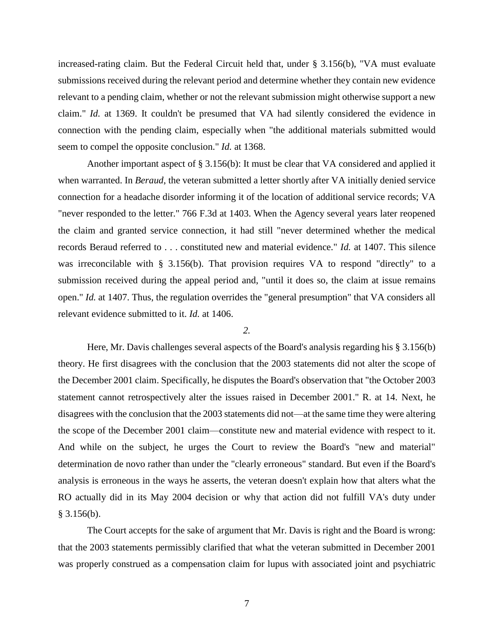increased-rating claim. But the Federal Circuit held that, under § 3.156(b), "VA must evaluate submissions received during the relevant period and determine whether they contain new evidence relevant to a pending claim, whether or not the relevant submission might otherwise support a new claim." *Id.* at 1369. It couldn't be presumed that VA had silently considered the evidence in connection with the pending claim, especially when "the additional materials submitted would seem to compel the opposite conclusion." *Id.* at 1368.

Another important aspect of § 3.156(b): It must be clear that VA considered and applied it when warranted. In *Beraud*, the veteran submitted a letter shortly after VA initially denied service connection for a headache disorder informing it of the location of additional service records; VA "never responded to the letter." 766 F.3d at 1403. When the Agency several years later reopened the claim and granted service connection, it had still "never determined whether the medical records Beraud referred to . . . constituted new and material evidence." *Id.* at 1407. This silence was irreconcilable with § 3.156(b). That provision requires VA to respond "directly" to a submission received during the appeal period and, "until it does so, the claim at issue remains open." *Id.* at 1407. Thus, the regulation overrides the "general presumption" that VA considers all relevant evidence submitted to it. *Id.* at 1406.

#### *2.*

Here, Mr. Davis challenges several aspects of the Board's analysis regarding his § 3.156(b) theory. He first disagrees with the conclusion that the 2003 statements did not alter the scope of the December 2001 claim. Specifically, he disputes the Board's observation that "the October 2003 statement cannot retrospectively alter the issues raised in December 2001." R. at 14. Next, he disagrees with the conclusion that the 2003 statements did not—at the same time they were altering the scope of the December 2001 claim—constitute new and material evidence with respect to it. And while on the subject, he urges the Court to review the Board's "new and material" determination de novo rather than under the "clearly erroneous" standard. But even if the Board's analysis is erroneous in the ways he asserts, the veteran doesn't explain how that alters what the RO actually did in its May 2004 decision or why that action did not fulfill VA's duty under  $§$  3.156(b).

The Court accepts for the sake of argument that Mr. Davis is right and the Board is wrong: that the 2003 statements permissibly clarified that what the veteran submitted in December 2001 was properly construed as a compensation claim for lupus with associated joint and psychiatric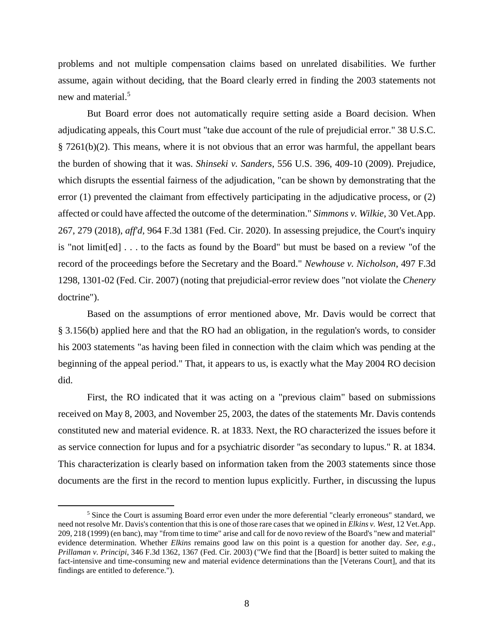problems and not multiple compensation claims based on unrelated disabilities. We further assume, again without deciding, that the Board clearly erred in finding the 2003 statements not new and material.<sup>5</sup>

But Board error does not automatically require setting aside a Board decision. When adjudicating appeals, this Court must "take due account of the rule of prejudicial error." 38 U.S.C. § 7261(b)(2). This means, where it is not obvious that an error was harmful, the appellant bears the burden of showing that it was. *Shinseki v. Sanders*, 556 U.S. 396, 409-10 (2009). Prejudice, which disrupts the essential fairness of the adjudication, "can be shown by demonstrating that the error (1) prevented the claimant from effectively participating in the adjudicative process, or (2) affected or could have affected the outcome of the determination." *Simmons v. Wilkie*, 30 Vet.App. 267, 279 (2018), *aff'd*, 964 F.3d 1381 (Fed. Cir. 2020). In assessing prejudice, the Court's inquiry is "not limit[ed] . . . to the facts as found by the Board" but must be based on a review "of the record of the proceedings before the Secretary and the Board." *Newhouse v. Nicholson*, 497 F.3d 1298, 1301-02 (Fed. Cir. 2007) (noting that prejudicial-error review does "not violate the *Chenery* doctrine").

Based on the assumptions of error mentioned above, Mr. Davis would be correct that § 3.156(b) applied here and that the RO had an obligation, in the regulation's words, to consider his 2003 statements "as having been filed in connection with the claim which was pending at the beginning of the appeal period." That, it appears to us, is exactly what the May 2004 RO decision did.

First, the RO indicated that it was acting on a "previous claim" based on submissions received on May 8, 2003, and November 25, 2003, the dates of the statements Mr. Davis contends constituted new and material evidence. R. at 1833. Next, the RO characterized the issues before it as service connection for lupus and for a psychiatric disorder "as secondary to lupus." R. at 1834. This characterization is clearly based on information taken from the 2003 statements since those documents are the first in the record to mention lupus explicitly. Further, in discussing the lupus

 $\overline{a}$ 

<sup>&</sup>lt;sup>5</sup> Since the Court is assuming Board error even under the more deferential "clearly erroneous" standard, we need not resolve Mr. Davis's contention that this is one of those rare cases that we opined in *Elkins v. West*, 12 Vet.App. 209, 218 (1999) (en banc), may "from time to time" arise and call for de novo review of the Board's "new and material" evidence determination. Whether *Elkins* remains good law on this point is a question for another day. *See, e.g.*, *Prillaman v. Principi*, 346 F.3d 1362, 1367 (Fed. Cir. 2003) ("We find that the [Board] is better suited to making the fact-intensive and time-consuming new and material evidence determinations than the [Veterans Court], and that its findings are entitled to deference.").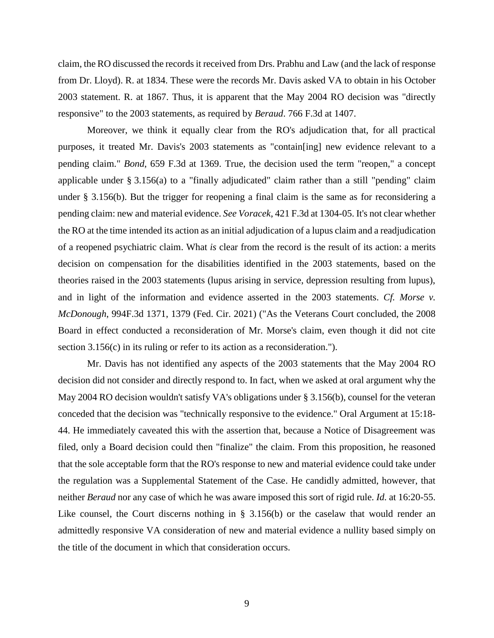claim, the RO discussed the records it received from Drs. Prabhu and Law (and the lack of response from Dr. Lloyd). R. at 1834. These were the records Mr. Davis asked VA to obtain in his October 2003 statement. R. at 1867. Thus, it is apparent that the May 2004 RO decision was "directly responsive" to the 2003 statements, as required by *Beraud*. 766 F.3d at 1407.

Moreover, we think it equally clear from the RO's adjudication that, for all practical purposes, it treated Mr. Davis's 2003 statements as "contain[ing] new evidence relevant to a pending claim." *Bond*, 659 F.3d at 1369. True, the decision used the term "reopen," a concept applicable under § 3.156(a) to a "finally adjudicated" claim rather than a still "pending" claim under § 3.156(b). But the trigger for reopening a final claim is the same as for reconsidering a pending claim: new and material evidence. *See Voracek*, 421 F.3d at 1304-05. It's not clear whether the RO at the time intended its action as an initial adjudication of a lupus claim and a readjudication of a reopened psychiatric claim. What *is* clear from the record is the result of its action: a merits decision on compensation for the disabilities identified in the 2003 statements, based on the theories raised in the 2003 statements (lupus arising in service, depression resulting from lupus), and in light of the information and evidence asserted in the 2003 statements. *Cf. Morse v. McDonough*, 994F.3d 1371, 1379 (Fed. Cir. 2021) ("As the Veterans Court concluded, the 2008 Board in effect conducted a reconsideration of Mr. Morse's claim, even though it did not cite section 3.156(c) in its ruling or refer to its action as a reconsideration.").

Mr. Davis has not identified any aspects of the 2003 statements that the May 2004 RO decision did not consider and directly respond to. In fact, when we asked at oral argument why the May 2004 RO decision wouldn't satisfy VA's obligations under § 3.156(b), counsel for the veteran conceded that the decision was "technically responsive to the evidence." Oral Argument at 15:18- 44. He immediately caveated this with the assertion that, because a Notice of Disagreement was filed, only a Board decision could then "finalize" the claim. From this proposition, he reasoned that the sole acceptable form that the RO's response to new and material evidence could take under the regulation was a Supplemental Statement of the Case. He candidly admitted, however, that neither *Beraud* nor any case of which he was aware imposed this sort of rigid rule. *Id.* at 16:20-55. Like counsel, the Court discerns nothing in § 3.156(b) or the caselaw that would render an admittedly responsive VA consideration of new and material evidence a nullity based simply on the title of the document in which that consideration occurs.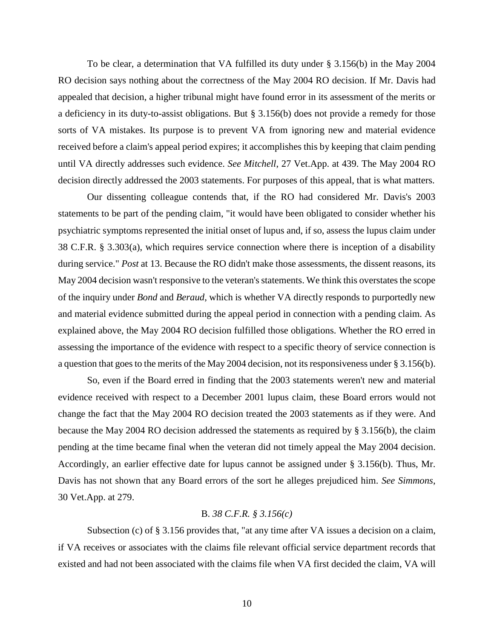To be clear, a determination that VA fulfilled its duty under § 3.156(b) in the May 2004 RO decision says nothing about the correctness of the May 2004 RO decision. If Mr. Davis had appealed that decision, a higher tribunal might have found error in its assessment of the merits or a deficiency in its duty-to-assist obligations. But § 3.156(b) does not provide a remedy for those sorts of VA mistakes. Its purpose is to prevent VA from ignoring new and material evidence received before a claim's appeal period expires; it accomplishes this by keeping that claim pending until VA directly addresses such evidence. *See Mitchell*, 27 Vet.App. at 439. The May 2004 RO decision directly addressed the 2003 statements. For purposes of this appeal, that is what matters.

Our dissenting colleague contends that, if the RO had considered Mr. Davis's 2003 statements to be part of the pending claim, "it would have been obligated to consider whether his psychiatric symptoms represented the initial onset of lupus and, if so, assess the lupus claim under 38 C.F.R. § 3.303(a), which requires service connection where there is inception of a disability during service." *Post* at 13. Because the RO didn't make those assessments, the dissent reasons, its May 2004 decision wasn't responsive to the veteran's statements. We think this overstates the scope of the inquiry under *Bond* and *Beraud*, which is whether VA directly responds to purportedly new and material evidence submitted during the appeal period in connection with a pending claim. As explained above, the May 2004 RO decision fulfilled those obligations. Whether the RO erred in assessing the importance of the evidence with respect to a specific theory of service connection is a question that goes to the merits of the May 2004 decision, not its responsiveness under § 3.156(b).

So, even if the Board erred in finding that the 2003 statements weren't new and material evidence received with respect to a December 2001 lupus claim, these Board errors would not change the fact that the May 2004 RO decision treated the 2003 statements as if they were. And because the May 2004 RO decision addressed the statements as required by § 3.156(b), the claim pending at the time became final when the veteran did not timely appeal the May 2004 decision. Accordingly, an earlier effective date for lupus cannot be assigned under § 3.156(b). Thus, Mr. Davis has not shown that any Board errors of the sort he alleges prejudiced him. *See Simmons*, 30 Vet.App. at 279.

# B. *38 C.F.R. § 3.156(c)*

Subsection (c) of § 3.156 provides that, "at any time after VA issues a decision on a claim, if VA receives or associates with the claims file relevant official service department records that existed and had not been associated with the claims file when VA first decided the claim, VA will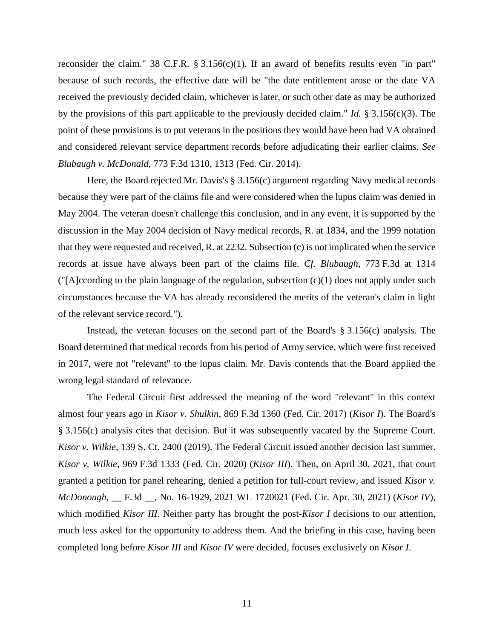reconsider the claim." 38 C.F.R.  $\S 3.156(c)(1)$ . If an award of benefits results even "in part" because of such records, the effective date will be "the date entitlement arose or the date VA received the previously decided claim, whichever is later, or such other date as may be authorized by the provisions of this part applicable to the previously decided claim." *Id.* § 3.156(c)(3). The point of these provisions is to put veterans in the positions they would have been had VA obtained and considered relevant service department records before adjudicating their earlier claims. *See Blubaugh v. McDonald*, 773 F.3d 1310, 1313 (Fed. Cir. 2014).

Here, the Board rejected Mr. Davis's § 3.156(c) argument regarding Navy medical records because they were part of the claims file and were considered when the lupus claim was denied in May 2004. The veteran doesn't challenge this conclusion, and in any event, it is supported by the discussion in the May 2004 decision of Navy medical records, R. at 1834, and the 1999 notation that they were requested and received, R. at 2232. Subsection (c) is not implicated when the service records at issue have always been part of the claims file. *Cf. Blubaugh*, 773 F.3d at 1314 ("[A]ccording to the plain language of the regulation, subsection (c)(1) does not apply under such circumstances because the VA has already reconsidered the merits of the veteran's claim in light of the relevant service record.").

Instead, the veteran focuses on the second part of the Board's  $\S 3.156(c)$  analysis. The Board determined that medical records from his period of Army service, which were first received in 2017, were not "relevant" to the lupus claim. Mr. Davis contends that the Board applied the wrong legal standard of relevance.

The Federal Circuit first addressed the meaning of the word "relevant" in this context almost four years ago in *Kisor v. Shulkin*, 869 F.3d 1360 (Fed. Cir. 2017) (*Kisor I*). The Board's § 3.156(c) analysis cites that decision. But it was subsequently vacated by the Supreme Court. *Kisor v. Wilkie*, 139 S. Ct. 2400 (2019). The Federal Circuit issued another decision last summer. *Kisor v. Wilkie*, 969 F.3d 1333 (Fed. Cir. 2020) (*Kisor III*). Then, on April 30, 2021, that court granted a petition for panel rehearing, denied a petition for full-court review, and issued *Kisor v. McDonough*, \_\_ F.3d \_\_, No. 16-1929, 2021 WL 1720021 (Fed. Cir. Apr. 30, 2021) (*Kisor IV*), which modified *Kisor III*. Neither party has brought the post-*Kisor I* decisions to our attention, much less asked for the opportunity to address them. And the briefing in this case, having been completed long before *Kisor III* and *Kisor IV* were decided, focuses exclusively on *Kisor I*.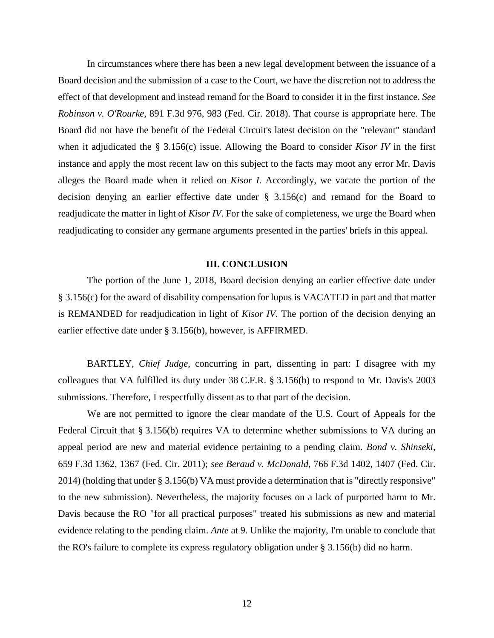In circumstances where there has been a new legal development between the issuance of a Board decision and the submission of a case to the Court, we have the discretion not to address the effect of that development and instead remand for the Board to consider it in the first instance. *See Robinson v. O'Rourke*, 891 F.3d 976, 983 (Fed. Cir. 2018). That course is appropriate here. The Board did not have the benefit of the Federal Circuit's latest decision on the "relevant" standard when it adjudicated the § 3.156(c) issue. Allowing the Board to consider *Kisor IV* in the first instance and apply the most recent law on this subject to the facts may moot any error Mr. Davis alleges the Board made when it relied on *Kisor I*. Accordingly, we vacate the portion of the decision denying an earlier effective date under § 3.156(c) and remand for the Board to readjudicate the matter in light of *Kisor IV*. For the sake of completeness, we urge the Board when readjudicating to consider any germane arguments presented in the parties' briefs in this appeal.

### **III. CONCLUSION**

The portion of the June 1, 2018, Board decision denying an earlier effective date under § 3.156(c) for the award of disability compensation for lupus is VACATED in part and that matter is REMANDED for readjudication in light of *Kisor IV*. The portion of the decision denying an earlier effective date under § 3.156(b), however, is AFFIRMED.

BARTLEY, *Chief Judge*, concurring in part, dissenting in part: I disagree with my colleagues that VA fulfilled its duty under 38 C.F.R. § 3.156(b) to respond to Mr. Davis's 2003 submissions. Therefore, I respectfully dissent as to that part of the decision.

We are not permitted to ignore the clear mandate of the U.S. Court of Appeals for the Federal Circuit that § 3.156(b) requires VA to determine whether submissions to VA during an appeal period are new and material evidence pertaining to a pending claim. *Bond v. Shinseki*, 659 F.3d 1362, 1367 (Fed. Cir. 2011); *see Beraud v. McDonald*, 766 F.3d 1402, 1407 (Fed. Cir. 2014) (holding that under § 3.156(b) VA must provide a determination that is "directly responsive" to the new submission). Nevertheless, the majority focuses on a lack of purported harm to Mr. Davis because the RO "for all practical purposes" treated his submissions as new and material evidence relating to the pending claim. *Ante* at 9. Unlike the majority, I'm unable to conclude that the RO's failure to complete its express regulatory obligation under § 3.156(b) did no harm.